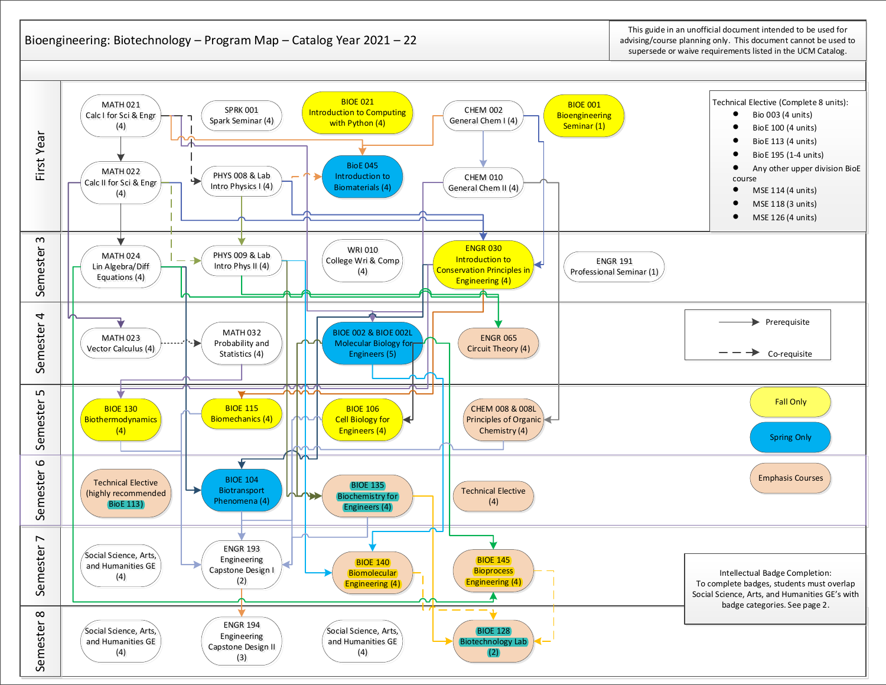## Bioengineering: Biotechnology – Program Map – Catalog Year 2021 – 22

This guide in an unofficial document intended to be used for advising/course planning only. This document cannot be used to supersede or waive requirements listed in the UCM Catalog.